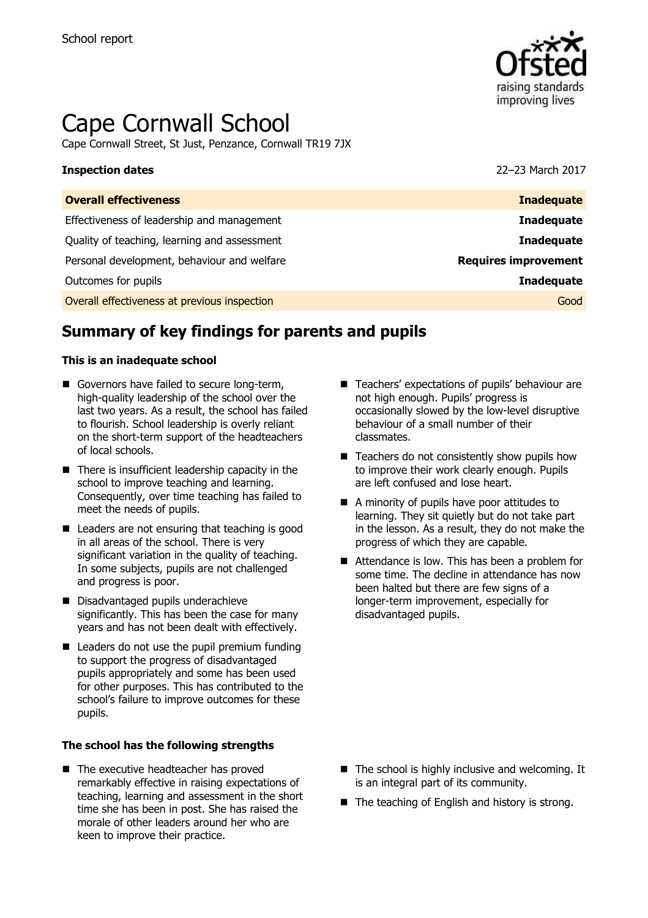

# Cape Cornwall School

Cape Cornwall Street, St Just, Penzance, Cornwall TR19 7JX

#### **Inspection dates** 22–23 March 2017

| <b>Inadequate</b>           |
|-----------------------------|
| <b>Inadequate</b>           |
| <b>Inadequate</b>           |
| <b>Requires improvement</b> |
| <b>Inadequate</b>           |
| Good                        |
|                             |

# **Summary of key findings for parents and pupils**

#### **This is an inadequate school**

- Governors have failed to secure long-term, high-quality leadership of the school over the last two years. As a result, the school has failed to flourish. School leadership is overly reliant on the short-term support of the headteachers of local schools.
- $\blacksquare$  There is insufficient leadership capacity in the school to improve teaching and learning. Consequently, over time teaching has failed to meet the needs of pupils.
- Leaders are not ensuring that teaching is good in all areas of the school. There is very significant variation in the quality of teaching. In some subjects, pupils are not challenged and progress is poor.
- Disadvantaged pupils underachieve significantly. This has been the case for many years and has not been dealt with effectively.
- $\blacksquare$  Leaders do not use the pupil premium funding to support the progress of disadvantaged pupils appropriately and some has been used for other purposes. This has contributed to the school's failure to improve outcomes for these pupils.

#### **The school has the following strengths**

■ The executive headteacher has proved remarkably effective in raising expectations of teaching, learning and assessment in the short time she has been in post. She has raised the morale of other leaders around her who are keen to improve their practice.

- Teachers' expectations of pupils' behaviour are not high enough. Pupils' progress is occasionally slowed by the low-level disruptive behaviour of a small number of their classmates.
- $\blacksquare$  Teachers do not consistently show pupils how to improve their work clearly enough. Pupils are left confused and lose heart.
- A minority of pupils have poor attitudes to learning. They sit quietly but do not take part in the lesson. As a result, they do not make the progress of which they are capable.
- Attendance is low. This has been a problem for some time. The decline in attendance has now been halted but there are few signs of a longer-term improvement, especially for disadvantaged pupils.

- $\blacksquare$  The school is highly inclusive and welcoming. It is an integral part of its community.
- $\blacksquare$  The teaching of English and history is strong.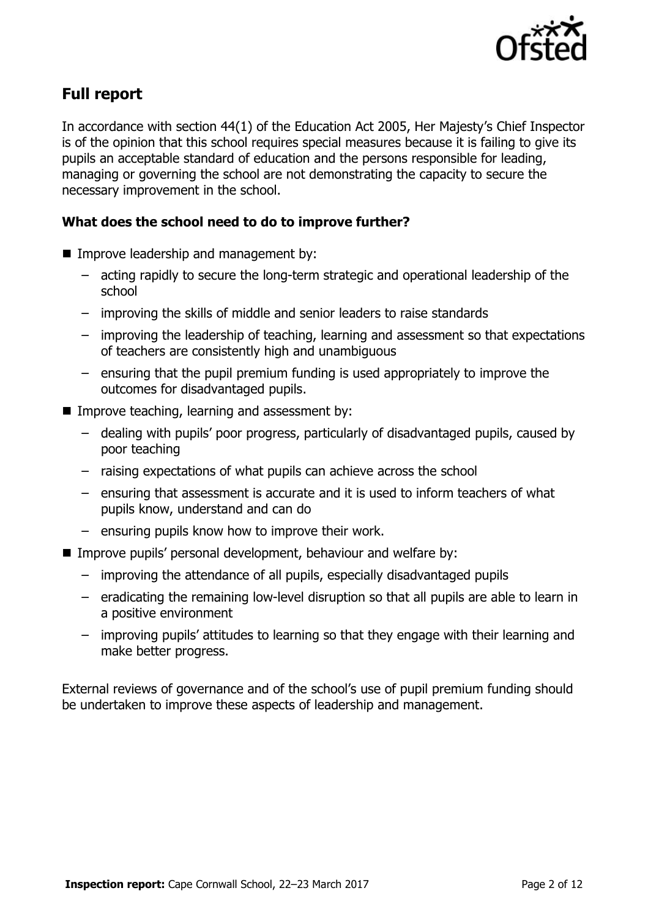

## **Full report**

In accordance with section 44(1) of the Education Act 2005, Her Majesty's Chief Inspector is of the opinion that this school requires special measures because it is failing to give its pupils an acceptable standard of education and the persons responsible for leading, managing or governing the school are not demonstrating the capacity to secure the necessary improvement in the school.

### **What does the school need to do to improve further?**

- **IMPROPE Improve leadership and management by:** 
	- acting rapidly to secure the long-term strategic and operational leadership of the school
	- improving the skills of middle and senior leaders to raise standards
	- improving the leadership of teaching, learning and assessment so that expectations of teachers are consistently high and unambiguous
	- ensuring that the pupil premium funding is used appropriately to improve the outcomes for disadvantaged pupils.
- Improve teaching, learning and assessment by:
	- dealing with pupils' poor progress, particularly of disadvantaged pupils, caused by poor teaching
	- raising expectations of what pupils can achieve across the school
	- ensuring that assessment is accurate and it is used to inform teachers of what pupils know, understand and can do
	- ensuring pupils know how to improve their work.
- Improve pupils' personal development, behaviour and welfare by:
	- improving the attendance of all pupils, especially disadvantaged pupils
	- eradicating the remaining low-level disruption so that all pupils are able to learn in a positive environment
	- improving pupils' attitudes to learning so that they engage with their learning and make better progress.

External reviews of governance and of the school's use of pupil premium funding should be undertaken to improve these aspects of leadership and management.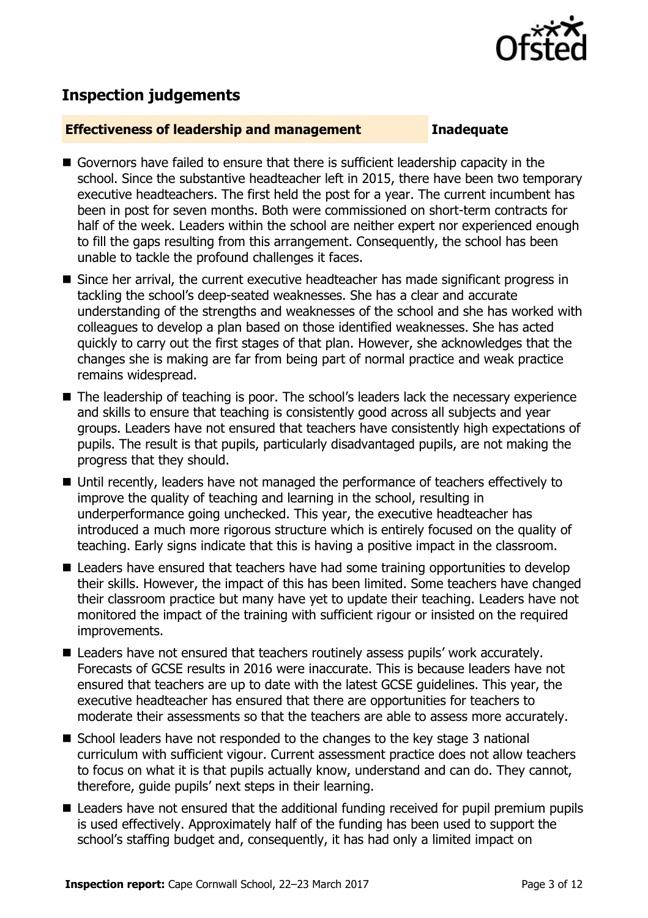

# **Inspection judgements**

#### **Effectiveness of leadership and management Inadequate**

- Governors have failed to ensure that there is sufficient leadership capacity in the school. Since the substantive headteacher left in 2015, there have been two temporary executive headteachers. The first held the post for a year. The current incumbent has been in post for seven months. Both were commissioned on short-term contracts for half of the week. Leaders within the school are neither expert nor experienced enough to fill the gaps resulting from this arrangement. Consequently, the school has been unable to tackle the profound challenges it faces.
- Since her arrival, the current executive headteacher has made significant progress in tackling the school's deep-seated weaknesses. She has a clear and accurate understanding of the strengths and weaknesses of the school and she has worked with colleagues to develop a plan based on those identified weaknesses. She has acted quickly to carry out the first stages of that plan. However, she acknowledges that the changes she is making are far from being part of normal practice and weak practice remains widespread.
- The leadership of teaching is poor. The school's leaders lack the necessary experience and skills to ensure that teaching is consistently good across all subjects and year groups. Leaders have not ensured that teachers have consistently high expectations of pupils. The result is that pupils, particularly disadvantaged pupils, are not making the progress that they should.
- Until recently, leaders have not managed the performance of teachers effectively to improve the quality of teaching and learning in the school, resulting in underperformance going unchecked. This year, the executive headteacher has introduced a much more rigorous structure which is entirely focused on the quality of teaching. Early signs indicate that this is having a positive impact in the classroom.
- Leaders have ensured that teachers have had some training opportunities to develop their skills. However, the impact of this has been limited. Some teachers have changed their classroom practice but many have yet to update their teaching. Leaders have not monitored the impact of the training with sufficient rigour or insisted on the required improvements.
- Leaders have not ensured that teachers routinely assess pupils' work accurately. Forecasts of GCSE results in 2016 were inaccurate. This is because leaders have not ensured that teachers are up to date with the latest GCSE guidelines. This year, the executive headteacher has ensured that there are opportunities for teachers to moderate their assessments so that the teachers are able to assess more accurately.
- School leaders have not responded to the changes to the key stage 3 national curriculum with sufficient vigour. Current assessment practice does not allow teachers to focus on what it is that pupils actually know, understand and can do. They cannot, therefore, guide pupils' next steps in their learning.
- Leaders have not ensured that the additional funding received for pupil premium pupils is used effectively. Approximately half of the funding has been used to support the school's staffing budget and, consequently, it has had only a limited impact on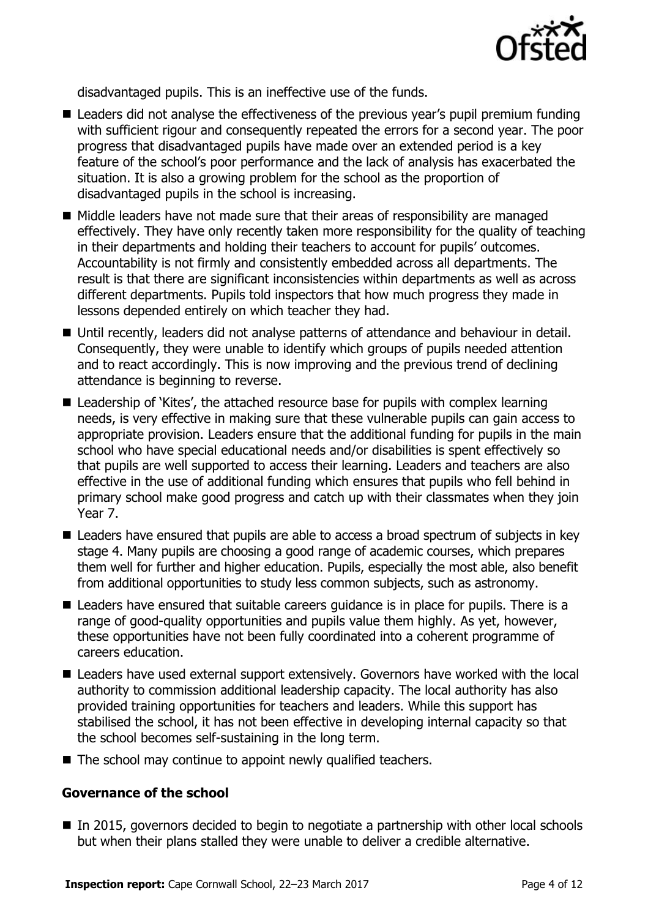

disadvantaged pupils. This is an ineffective use of the funds.

- Leaders did not analyse the effectiveness of the previous year's pupil premium funding with sufficient rigour and consequently repeated the errors for a second year. The poor progress that disadvantaged pupils have made over an extended period is a key feature of the school's poor performance and the lack of analysis has exacerbated the situation. It is also a growing problem for the school as the proportion of disadvantaged pupils in the school is increasing.
- $\blacksquare$  Middle leaders have not made sure that their areas of responsibility are managed effectively. They have only recently taken more responsibility for the quality of teaching in their departments and holding their teachers to account for pupils' outcomes. Accountability is not firmly and consistently embedded across all departments. The result is that there are significant inconsistencies within departments as well as across different departments. Pupils told inspectors that how much progress they made in lessons depended entirely on which teacher they had.
- Until recently, leaders did not analyse patterns of attendance and behaviour in detail. Consequently, they were unable to identify which groups of pupils needed attention and to react accordingly. This is now improving and the previous trend of declining attendance is beginning to reverse.
- Leadership of 'Kites', the attached resource base for pupils with complex learning needs, is very effective in making sure that these vulnerable pupils can gain access to appropriate provision. Leaders ensure that the additional funding for pupils in the main school who have special educational needs and/or disabilities is spent effectively so that pupils are well supported to access their learning. Leaders and teachers are also effective in the use of additional funding which ensures that pupils who fell behind in primary school make good progress and catch up with their classmates when they join Year 7.
- Leaders have ensured that pupils are able to access a broad spectrum of subjects in key stage 4. Many pupils are choosing a good range of academic courses, which prepares them well for further and higher education. Pupils, especially the most able, also benefit from additional opportunities to study less common subjects, such as astronomy.
- Leaders have ensured that suitable careers guidance is in place for pupils. There is a range of good-quality opportunities and pupils value them highly. As yet, however, these opportunities have not been fully coordinated into a coherent programme of careers education.
- Leaders have used external support extensively. Governors have worked with the local authority to commission additional leadership capacity. The local authority has also provided training opportunities for teachers and leaders. While this support has stabilised the school, it has not been effective in developing internal capacity so that the school becomes self-sustaining in the long term.
- The school may continue to appoint newly qualified teachers.

### **Governance of the school**

■ In 2015, governors decided to begin to negotiate a partnership with other local schools but when their plans stalled they were unable to deliver a credible alternative.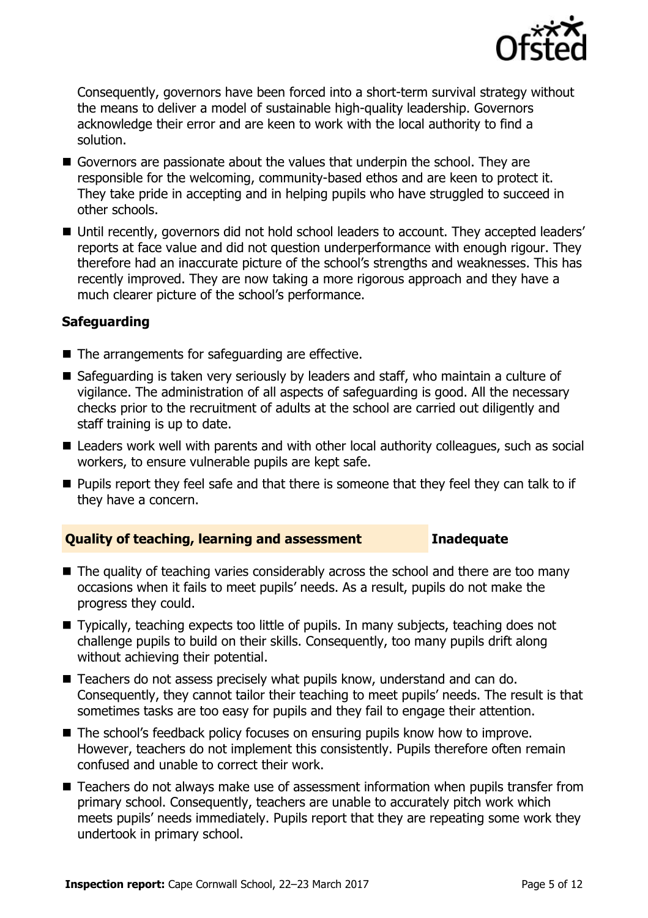

Consequently, governors have been forced into a short-term survival strategy without the means to deliver a model of sustainable high-quality leadership. Governors acknowledge their error and are keen to work with the local authority to find a solution.

- Governors are passionate about the values that underpin the school. They are responsible for the welcoming, community-based ethos and are keen to protect it. They take pride in accepting and in helping pupils who have struggled to succeed in other schools.
- Until recently, governors did not hold school leaders to account. They accepted leaders' reports at face value and did not question underperformance with enough rigour. They therefore had an inaccurate picture of the school's strengths and weaknesses. This has recently improved. They are now taking a more rigorous approach and they have a much clearer picture of the school's performance.

#### **Safeguarding**

- $\blacksquare$  The arrangements for safeguarding are effective.
- Safeguarding is taken very seriously by leaders and staff, who maintain a culture of vigilance. The administration of all aspects of safeguarding is good. All the necessary checks prior to the recruitment of adults at the school are carried out diligently and staff training is up to date.
- Leaders work well with parents and with other local authority colleagues, such as social workers, to ensure vulnerable pupils are kept safe.
- **Pupils report they feel safe and that there is someone that they feel they can talk to if** they have a concern.

#### **Quality of teaching, learning and assessment Inadequate**

- The quality of teaching varies considerably across the school and there are too many occasions when it fails to meet pupils' needs. As a result, pupils do not make the progress they could.
- Typically, teaching expects too little of pupils. In many subjects, teaching does not challenge pupils to build on their skills. Consequently, too many pupils drift along without achieving their potential.
- Teachers do not assess precisely what pupils know, understand and can do. Consequently, they cannot tailor their teaching to meet pupils' needs. The result is that sometimes tasks are too easy for pupils and they fail to engage their attention.
- The school's feedback policy focuses on ensuring pupils know how to improve. However, teachers do not implement this consistently. Pupils therefore often remain confused and unable to correct their work.
- Teachers do not always make use of assessment information when pupils transfer from primary school. Consequently, teachers are unable to accurately pitch work which meets pupils' needs immediately. Pupils report that they are repeating some work they undertook in primary school.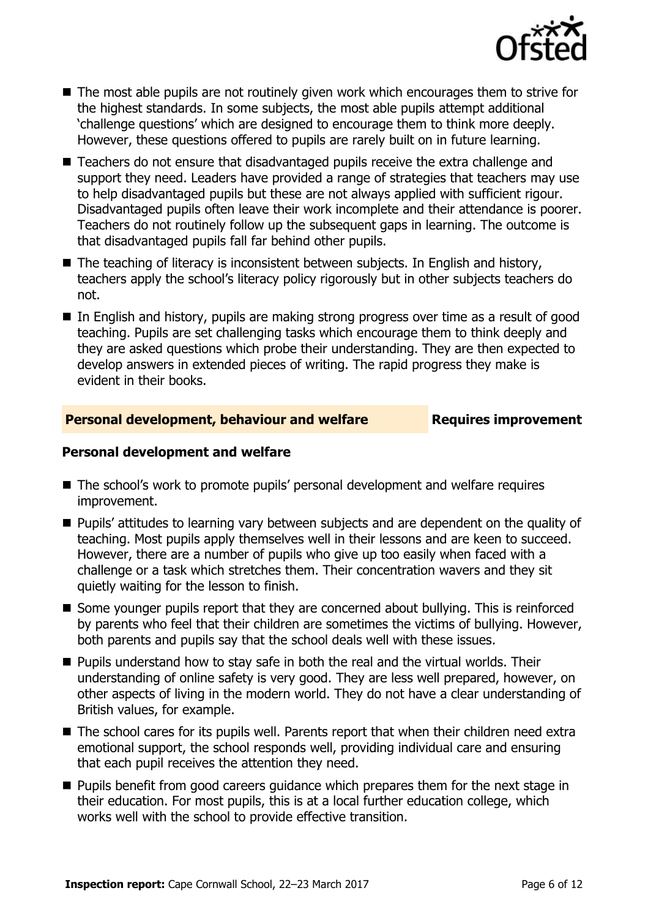

- The most able pupils are not routinely given work which encourages them to strive for the highest standards. In some subjects, the most able pupils attempt additional 'challenge questions' which are designed to encourage them to think more deeply. However, these questions offered to pupils are rarely built on in future learning.
- Teachers do not ensure that disadvantaged pupils receive the extra challenge and support they need. Leaders have provided a range of strategies that teachers may use to help disadvantaged pupils but these are not always applied with sufficient rigour. Disadvantaged pupils often leave their work incomplete and their attendance is poorer. Teachers do not routinely follow up the subsequent gaps in learning. The outcome is that disadvantaged pupils fall far behind other pupils.
- The teaching of literacy is inconsistent between subjects. In English and history, teachers apply the school's literacy policy rigorously but in other subjects teachers do not.
- In English and history, pupils are making strong progress over time as a result of good teaching. Pupils are set challenging tasks which encourage them to think deeply and they are asked questions which probe their understanding. They are then expected to develop answers in extended pieces of writing. The rapid progress they make is evident in their books.

#### **Personal development, behaviour and welfare <b>Requires improvement**

#### **Personal development and welfare**

- The school's work to promote pupils' personal development and welfare requires improvement.
- **Pupils' attitudes to learning vary between subjects and are dependent on the quality of** teaching. Most pupils apply themselves well in their lessons and are keen to succeed. However, there are a number of pupils who give up too easily when faced with a challenge or a task which stretches them. Their concentration wavers and they sit quietly waiting for the lesson to finish.
- Some younger pupils report that they are concerned about bullying. This is reinforced by parents who feel that their children are sometimes the victims of bullying. However, both parents and pupils say that the school deals well with these issues.
- **Pupils understand how to stay safe in both the real and the virtual worlds. Their** understanding of online safety is very good. They are less well prepared, however, on other aspects of living in the modern world. They do not have a clear understanding of British values, for example.
- The school cares for its pupils well. Parents report that when their children need extra emotional support, the school responds well, providing individual care and ensuring that each pupil receives the attention they need.
- **Pupils benefit from good careers guidance which prepares them for the next stage in** their education. For most pupils, this is at a local further education college, which works well with the school to provide effective transition.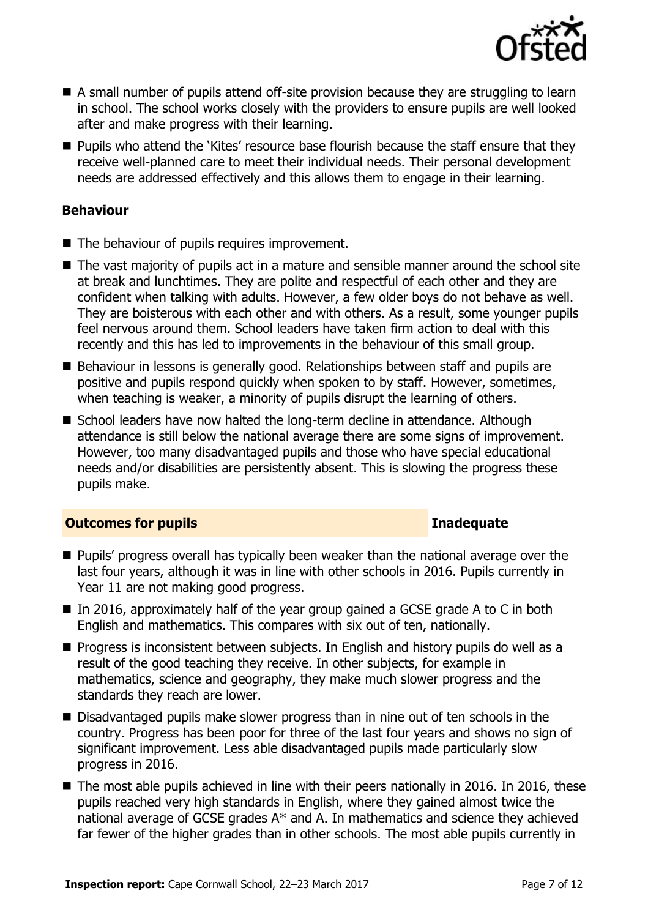

- A small number of pupils attend off-site provision because they are struggling to learn in school. The school works closely with the providers to ensure pupils are well looked after and make progress with their learning.
- **Pupils who attend the 'Kites' resource base flourish because the staff ensure that they** receive well-planned care to meet their individual needs. Their personal development needs are addressed effectively and this allows them to engage in their learning.

### **Behaviour**

- The behaviour of pupils requires improvement.
- The vast majority of pupils act in a mature and sensible manner around the school site at break and lunchtimes. They are polite and respectful of each other and they are confident when talking with adults. However, a few older boys do not behave as well. They are boisterous with each other and with others. As a result, some younger pupils feel nervous around them. School leaders have taken firm action to deal with this recently and this has led to improvements in the behaviour of this small group.
- Behaviour in lessons is generally good. Relationships between staff and pupils are positive and pupils respond quickly when spoken to by staff. However, sometimes, when teaching is weaker, a minority of pupils disrupt the learning of others.
- School leaders have now halted the long-term decline in attendance. Although attendance is still below the national average there are some signs of improvement. However, too many disadvantaged pupils and those who have special educational needs and/or disabilities are persistently absent. This is slowing the progress these pupils make.

#### **Outcomes for pupils Inadequate**

- **Pupils' progress overall has typically been weaker than the national average over the** last four years, although it was in line with other schools in 2016. Pupils currently in Year 11 are not making good progress.
- In 2016, approximately half of the year group gained a GCSE grade A to C in both English and mathematics. This compares with six out of ten, nationally.
- **Progress is inconsistent between subjects. In English and history pupils do well as a** result of the good teaching they receive. In other subjects, for example in mathematics, science and geography, they make much slower progress and the standards they reach are lower.
- Disadvantaged pupils make slower progress than in nine out of ten schools in the country. Progress has been poor for three of the last four years and shows no sign of significant improvement. Less able disadvantaged pupils made particularly slow progress in 2016.
- The most able pupils achieved in line with their peers nationally in 2016. In 2016, these pupils reached very high standards in English, where they gained almost twice the national average of GCSE grades A\* and A. In mathematics and science they achieved far fewer of the higher grades than in other schools. The most able pupils currently in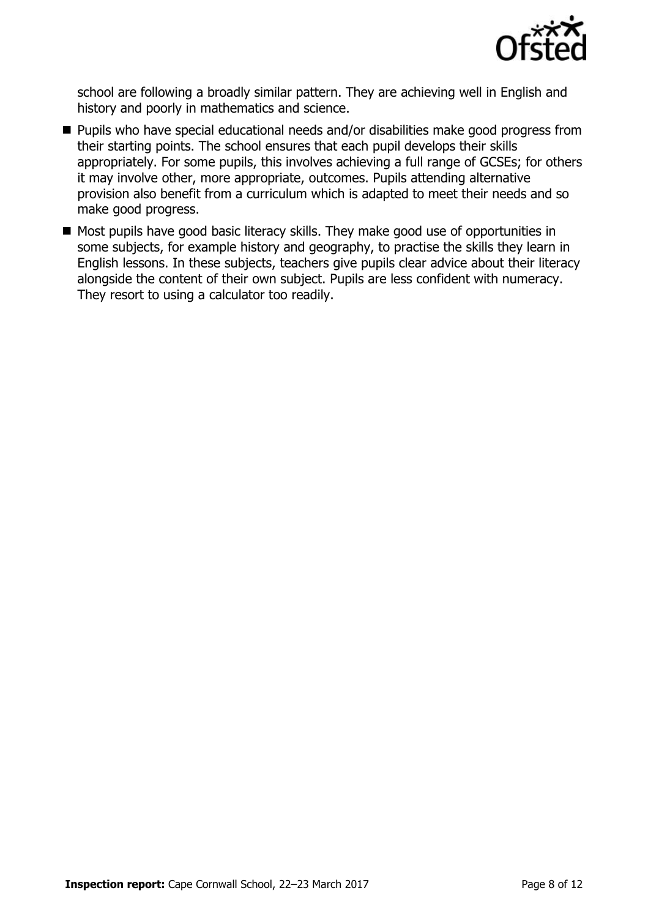

school are following a broadly similar pattern. They are achieving well in English and history and poorly in mathematics and science.

- Pupils who have special educational needs and/or disabilities make good progress from their starting points. The school ensures that each pupil develops their skills appropriately. For some pupils, this involves achieving a full range of GCSEs; for others it may involve other, more appropriate, outcomes. Pupils attending alternative provision also benefit from a curriculum which is adapted to meet their needs and so make good progress.
- Most pupils have good basic literacy skills. They make good use of opportunities in some subjects, for example history and geography, to practise the skills they learn in English lessons. In these subjects, teachers give pupils clear advice about their literacy alongside the content of their own subject. Pupils are less confident with numeracy. They resort to using a calculator too readily.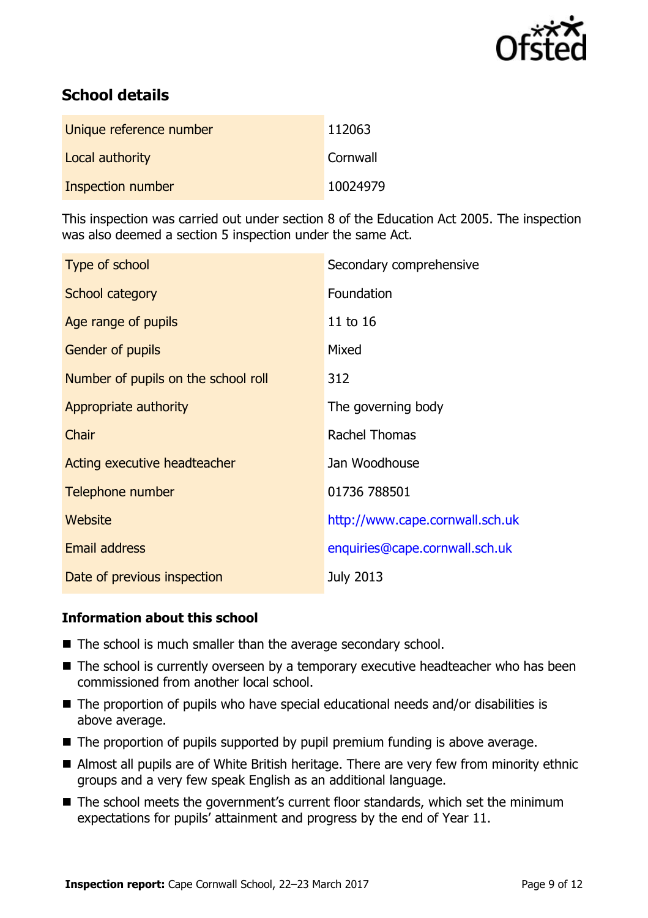

# **School details**

| Unique reference number | 112063   |
|-------------------------|----------|
| Local authority         | Cornwall |
| Inspection number       | 10024979 |

This inspection was carried out under section 8 of the Education Act 2005. The inspection was also deemed a section 5 inspection under the same Act.

| Type of school                      | Secondary comprehensive         |
|-------------------------------------|---------------------------------|
| School category                     | Foundation                      |
| Age range of pupils                 | 11 to 16                        |
| <b>Gender of pupils</b>             | Mixed                           |
| Number of pupils on the school roll | 312                             |
| Appropriate authority               | The governing body              |
| Chair                               | <b>Rachel Thomas</b>            |
| Acting executive headteacher        | Jan Woodhouse                   |
| Telephone number                    | 01736 788501                    |
| Website                             | http://www.cape.cornwall.sch.uk |
| Email address                       | enquiries@cape.cornwall.sch.uk  |
| Date of previous inspection         | <b>July 2013</b>                |

### **Information about this school**

- The school is much smaller than the average secondary school.
- The school is currently overseen by a temporary executive headteacher who has been commissioned from another local school.
- The proportion of pupils who have special educational needs and/or disabilities is above average.
- The proportion of pupils supported by pupil premium funding is above average.
- Almost all pupils are of White British heritage. There are very few from minority ethnic groups and a very few speak English as an additional language.
- The school meets the government's current floor standards, which set the minimum expectations for pupils' attainment and progress by the end of Year 11.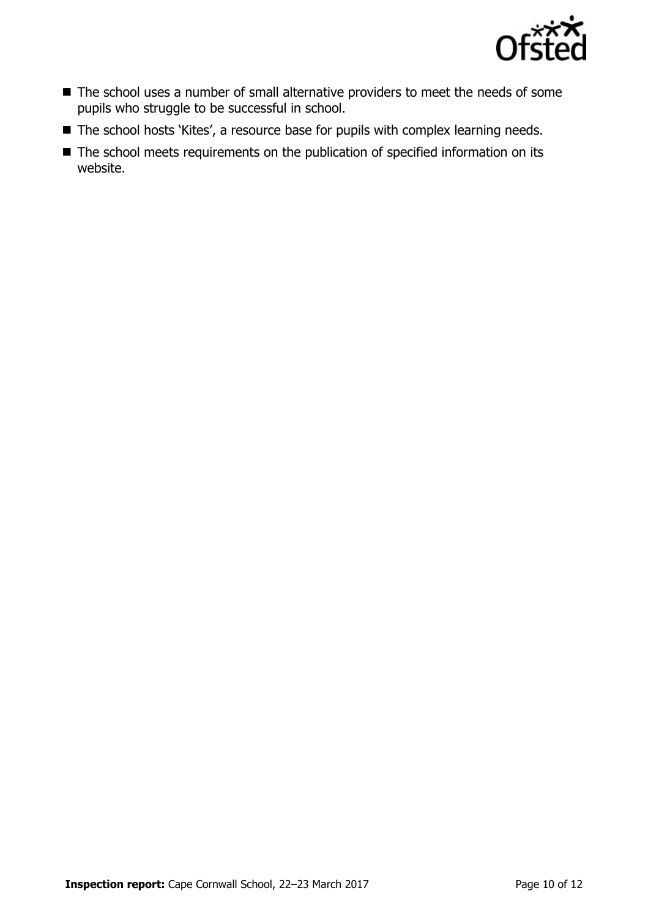

- The school uses a number of small alternative providers to meet the needs of some pupils who struggle to be successful in school.
- The school hosts 'Kites', a resource base for pupils with complex learning needs.
- The school meets requirements on the publication of specified information on its website.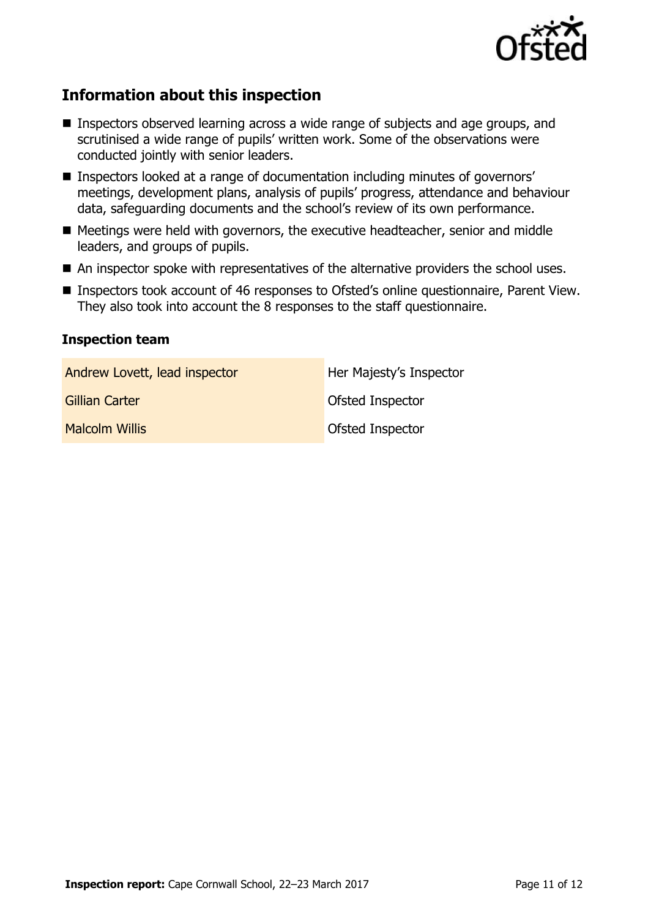

# **Information about this inspection**

- Inspectors observed learning across a wide range of subjects and age groups, and scrutinised a wide range of pupils' written work. Some of the observations were conducted jointly with senior leaders.
- **Inspectors looked at a range of documentation including minutes of governors'** meetings, development plans, analysis of pupils' progress, attendance and behaviour data, safeguarding documents and the school's review of its own performance.
- Meetings were held with governors, the executive headteacher, senior and middle leaders, and groups of pupils.
- An inspector spoke with representatives of the alternative providers the school uses.
- Inspectors took account of 46 responses to Ofsted's online questionnaire, Parent View. They also took into account the 8 responses to the staff questionnaire.

#### **Inspection team**

| Andrew Lovett, lead inspector | Her Majesty's Inspector |
|-------------------------------|-------------------------|
| Gillian Carter                | Ofsted Inspector        |
| <b>Malcolm Willis</b>         | Ofsted Inspector        |